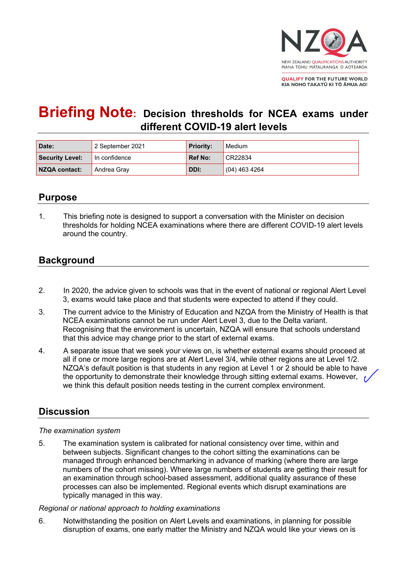

**QUALIFY FOR THE FUTURE WORLD** KIA NOHO TAKATŪ KI TŌ ĀMUA AO!

# **Briefing Note: Decision thresholds for NCEA exams under different COVID-19 alert levels**

| Date:                  | 2 September 2021          | Priority:      | Medium          |
|------------------------|---------------------------|----------------|-----------------|
| <b>Security Level:</b> | $\mathsf I$ In confidence | <b>Ref No:</b> | CR22834         |
| NZQA contact:          | Andrea Gray               | DDI:           | $(04)$ 463 4264 |

### **Purpose**

1. This briefing note is designed to support a conversation with the Minister on decision thresholds for holding NCEA examinations where there are different COVID-19 alert levels around the country.

# **Background**

- 2. In 2020, the advice given to schools was that in the event of national or regional Alert Level 3, exams would take place and that students were expected to attend if they could.
- 3. The current advice to the Ministry of Education and NZQA from the Ministry of Health is that NCEA examinations cannot be run under Alert Level 3, due to the Delta variant. Recognising that the environment is uncertain, NZQA will ensure that schools understand that this advice may change prior to the start of external exams.
- 4. A separate issue that we seek your views on, is whether external exams should proceed at all if one or more large regions are at Alert Level 3/4, while other regions are at Level 1/2. NZQA's default position is that students in any region at Level 1 or 2 should be able to have the opportunity to demonstrate their knowledge through sitting external exams. However,  $\epsilon$ we think this default position needs testing in the current complex environment.

## **Discussion**

#### *The examination system*

5. The examination system is calibrated for national consistency over time, within and between subjects. Significant changes to the cohort sitting the examinations can be managed through enhanced benchmarking in advance of marking (where there are large numbers of the cohort missing). Where large numbers of students are getting their result for an examination through school-based assessment, additional quality assurance of these processes can also be implemented. Regional events which disrupt examinations are typically managed in this way.

#### *Regional or national approach to holding examinations*

6. Notwithstanding the position on Alert Levels and examinations, in planning for possible disruption of exams, one early matter the Ministry and NZQA would like your views on is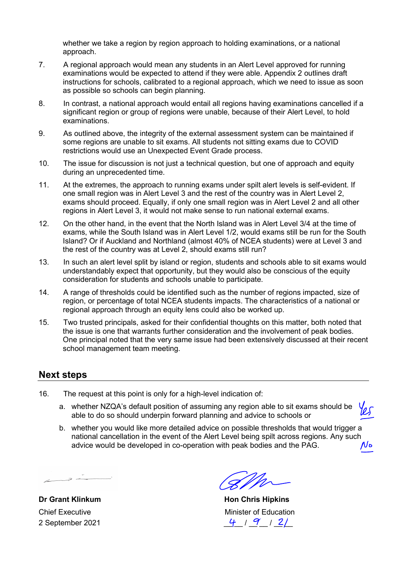whether we take a region by region approach to holding examinations, or a national approach.

- 7. A regional approach would mean any students in an Alert Level approved for running examinations would be expected to attend if they were able. Appendix 2 outlines draft instructions for schools, calibrated to a regional approach, which we need to issue as soon as possible so schools can begin planning.
- 8. In contrast, a national approach would entail all regions having examinations cancelled if a significant region or group of regions were unable, because of their Alert Level, to hold examinations.
- 9. As outlined above, the integrity of the external assessment system can be maintained if some regions are unable to sit exams. All students not sitting exams due to COVID restrictions would use an Unexpected Event Grade process.
- 10. The issue for discussion is not just a technical question, but one of approach and equity during an unprecedented time.
- 11. At the extremes, the approach to running exams under spilt alert levels is self-evident. If one small region was in Alert Level 3 and the rest of the country was in Alert Level 2, exams should proceed. Equally, if only one small region was in Alert Level 2 and all other regions in Alert Level 3, it would not make sense to run national external exams.
- 12. On the other hand, in the event that the North Island was in Alert Level 3/4 at the time of exams, while the South Island was in Alert Level 1/2, would exams still be run for the South Island? Or if Auckland and Northland (almost 40% of NCEA students) were at Level 3 and the rest of the country was at Level 2, should exams still run?
- 13. In such an alert level split by island or region, students and schools able to sit exams would understandably expect that opportunity, but they would also be conscious of the equity consideration for students and schools unable to participate.
- 14. A range of thresholds could be identified such as the number of regions impacted, size of region, or percentage of total NCEA students impacts. The characteristics of a national or regional approach through an equity lens could also be worked up.
- 15. Two trusted principals, asked for their confidential thoughts on this matter, both noted that the issue is one that warrants further consideration and the involvement of peak bodies. One principal noted that the very same issue had been extensively discussed at their recent school management team meeting.

### **Next steps**

- 16. The request at this point is only for a high-level indication of:
	- a. whether NZQA's default position of assuming any region able to sit exams should be les able to do so should underpin forward planning and advice to schools or
	- b. whether you would like more detailed advice on possible thresholds that would trigger a national cancellation in the event of the Alert Level being spilt across regions. Any such advice would be developed in co-operation with peak bodies and the PAG. advice would be developed in co-operation with peak bodies and the PAG.

 $\overline{z}$   $\overline{z}$ 

**Dr Grant Klinkum Chris Hon Chris Hipkins Chief Executive Chief Executive Chief Executive** Minister of Education 2 September 2021  $\frac{4}{7}$  /  $\frac{9}{2}$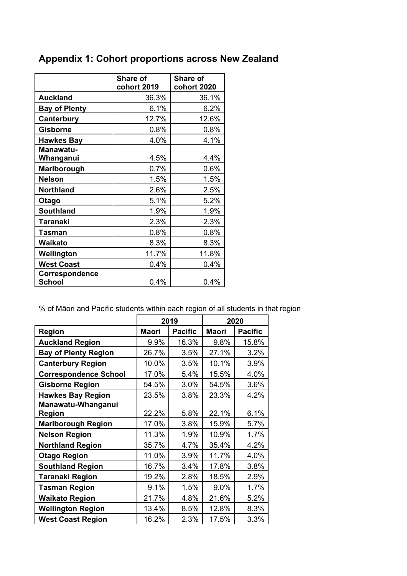|  | <b>Appendix 1: Cohort proportions across New Zealand</b> |  |
|--|----------------------------------------------------------|--|
|--|----------------------------------------------------------|--|

|                                 | <b>Share of</b> | <b>Share of</b> |  |
|---------------------------------|-----------------|-----------------|--|
|                                 | cohort 2019     | cohort 2020     |  |
| <b>Auckland</b>                 | 36.3%           | 36.1%           |  |
| <b>Bay of Plenty</b>            | 6.1%            | 6.2%            |  |
| Canterbury                      | 12.7%           | 12.6%           |  |
| <b>Gisborne</b>                 | 0.8%            | 0.8%            |  |
| <b>Hawkes Bay</b>               | 4.0%            | 4.1%            |  |
| Manawatu-                       |                 |                 |  |
| Whanganui                       | 4.5%            | 4.4%            |  |
| <b>Marlborough</b>              | 0.7%            | 0.6%            |  |
| <b>Nelson</b>                   | 1.5%            | 1.5%            |  |
| <b>Northland</b>                | 2.6%            | 2.5%            |  |
| Otago                           | 5.1%            | 5.2%            |  |
| <b>Southland</b>                | 1.9%            | 1.9%            |  |
| <b>Taranaki</b>                 | 2.3%            | 2.3%            |  |
| <b>Tasman</b>                   | 0.8%            | 0.8%            |  |
| Waikato                         | 8.3%            | 8.3%            |  |
| Wellington                      | 11.7%           | 11.8%           |  |
| <b>West Coast</b>               | 0.4%            | 0.4%            |  |
| Correspondence<br><b>School</b> | 0.4%            | 0.4%            |  |

% of Māori and Pacific students within each region of all students in that region

|                                     | 2019         |                | 2020         |                |
|-------------------------------------|--------------|----------------|--------------|----------------|
| <b>Region</b>                       | <b>Maori</b> | <b>Pacific</b> | <b>Maori</b> | <b>Pacific</b> |
| <b>Auckland Region</b>              | 9.9%         | 16.3%          | 9.8%         | 15.8%          |
| <b>Bay of Plenty Region</b>         | 26.7%        | 3.5%           | 27.1%        | 3.2%           |
| <b>Canterbury Region</b>            | 10.0%        | 3.5%           | 10.1%        | 3.9%           |
| <b>Correspondence School</b>        | 17.0%        | 5.4%           | 15.5%        | 4.0%           |
| <b>Gisborne Region</b>              | 54.5%        | 3.0%           | 54.5%        | 3.6%           |
| <b>Hawkes Bay Region</b>            | 23.5%        | 3.8%           | 23.3%        | 4.2%           |
| Manawatu-Whanganui<br><b>Region</b> | 22.2%        | 5.8%           | 22.1%        | 6.1%           |
| <b>Marlborough Region</b>           | 17.0%        | 3.8%           | 15.9%        | 5.7%           |
| <b>Nelson Region</b>                | 11.3%        | 1.9%           | 10.9%        | 1.7%           |
| <b>Northland Region</b>             | 35.7%        | 4.7%           | 35.4%        | 4.2%           |
| <b>Otago Region</b>                 | 11.0%        | 3.9%           | 11.7%        | 4.0%           |
| <b>Southland Region</b>             | 16.7%        | 3.4%           | 17.8%        | 3.8%           |
| <b>Taranaki Region</b>              | 19.2%        | 2.8%           | 18.5%        | 2.9%           |
| <b>Tasman Region</b>                | 9.1%         | 1.5%           | 9.0%         | 1.7%           |
| <b>Waikato Region</b>               | 21.7%        | 4.8%           | 21.6%        | 5.2%           |
| <b>Wellington Region</b>            | 13.4%        | 8.5%           | 12.8%        | 8.3%           |
| <b>West Coast Region</b>            | 16.2%        | 2.3%           | 17.5%        | 3.3%           |